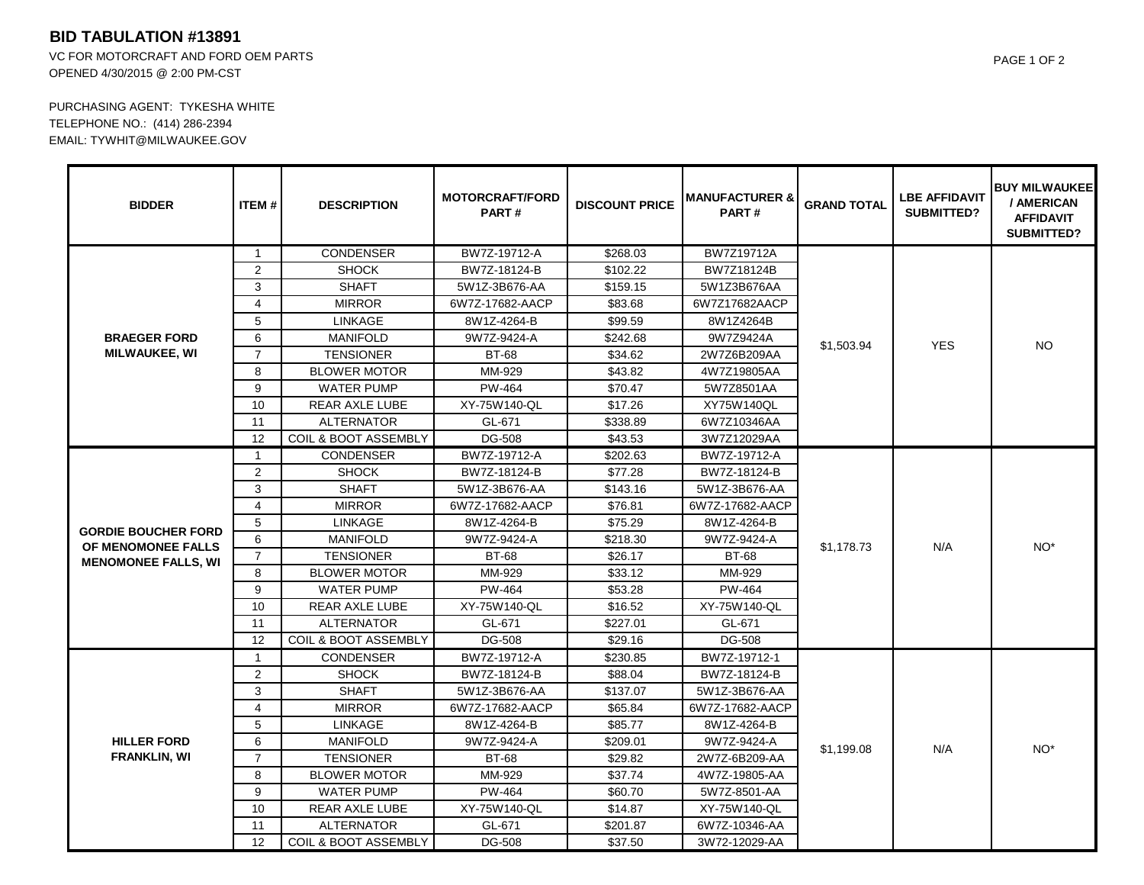## **BID TABULATION #13891**

VC FOR MOTORCRAFT AND FORD OEM PARTS OPENED 4/30/2015 @ 2:00 PM-CST

PURCHASING AGENT: TYKESHA WHITE TELEPHONE NO.: (414) 286-2394 EMAIL: TYWHIT@MILWAUKEE.GOV

| <b>BIDDER</b>                                                                  | <b>ITEM#</b>   | <b>DESCRIPTION</b>              | <b>MOTORCRAFT/FORD</b><br><b>PART#</b> | <b>DISCOUNT PRICE</b> | <b>MANUFACTURER &amp;</b><br><b>PART#</b> | <b>GRAND TOTAL</b> | <b>LBE AFFIDAVIT</b><br><b>SUBMITTED?</b> | <b>BUY MILWAUKEE</b><br>/ AMERICAN<br><b>AFFIDAVIT</b><br><b>SUBMITTED?</b> |
|--------------------------------------------------------------------------------|----------------|---------------------------------|----------------------------------------|-----------------------|-------------------------------------------|--------------------|-------------------------------------------|-----------------------------------------------------------------------------|
| <b>BRAEGER FORD</b><br><b>MILWAUKEE, WI</b>                                    | $\mathbf{1}$   | <b>CONDENSER</b>                | BW7Z-19712-A                           | \$268.03              | BW7Z19712A                                | \$1,503.94         | <b>YES</b>                                | NO.                                                                         |
|                                                                                | 2              | <b>SHOCK</b>                    | BW7Z-18124-B                           | \$102.22              | BW7Z18124B                                |                    |                                           |                                                                             |
|                                                                                | 3              | <b>SHAFT</b>                    | 5W1Z-3B676-AA                          | \$159.15              | 5W1Z3B676AA                               |                    |                                           |                                                                             |
|                                                                                | $\overline{4}$ | <b>MIRROR</b>                   | 6W7Z-17682-AACP                        | \$83.68               | 6W7Z17682AACP                             |                    |                                           |                                                                             |
|                                                                                | 5              | <b>LINKAGE</b>                  | 8W1Z-4264-B                            | \$99.59               | 8W1Z4264B                                 |                    |                                           |                                                                             |
|                                                                                | 6              | <b>MANIFOLD</b>                 | 9W7Z-9424-A                            | \$242.68              | 9W7Z9424A                                 |                    |                                           |                                                                             |
|                                                                                | $\overline{7}$ | <b>TENSIONER</b>                | <b>BT-68</b>                           | \$34.62               | 2W7Z6B209AA                               |                    |                                           |                                                                             |
|                                                                                | 8              | <b>BLOWER MOTOR</b>             | MM-929                                 | \$43.82               | 4W7Z19805AA                               |                    |                                           |                                                                             |
|                                                                                | 9              | <b>WATER PUMP</b>               | PW-464                                 | \$70.47               | 5W7Z8501AA                                |                    |                                           |                                                                             |
|                                                                                | 10             | REAR AXLE LUBE                  | XY-75W140-QL                           | \$17.26               | XY75W140QL                                |                    |                                           |                                                                             |
|                                                                                | 11             | <b>ALTERNATOR</b>               | GL-671                                 | \$338.89              | 6W7Z10346AA                               |                    |                                           |                                                                             |
|                                                                                | 12             | <b>COIL &amp; BOOT ASSEMBLY</b> | <b>DG-508</b>                          | \$43.53               | 3W7Z12029AA                               |                    |                                           |                                                                             |
| <b>GORDIE BOUCHER FORD</b><br>OF MENOMONEE FALLS<br><b>MENOMONEE FALLS, WI</b> | $\mathbf{1}$   | <b>CONDENSER</b>                | BW7Z-19712-A                           | \$202.63              | BW7Z-19712-A                              | \$1,178.73         | N/A                                       | NO <sup>*</sup>                                                             |
|                                                                                | 2              | <b>SHOCK</b>                    | BW7Z-18124-B                           | \$77.28               | BW7Z-18124-B                              |                    |                                           |                                                                             |
|                                                                                | 3              | <b>SHAFT</b>                    | 5W1Z-3B676-AA                          | \$143.16              | 5W1Z-3B676-AA                             |                    |                                           |                                                                             |
|                                                                                | $\overline{4}$ | <b>MIRROR</b>                   | 6W7Z-17682-AACP                        | \$76.81               | 6W7Z-17682-AACP                           |                    |                                           |                                                                             |
|                                                                                | 5              | <b>LINKAGE</b>                  | 8W1Z-4264-B                            | \$75.29               | 8W1Z-4264-B                               |                    |                                           |                                                                             |
|                                                                                | 6              | <b>MANIFOLD</b>                 | 9W7Z-9424-A                            | \$218.30              | 9W7Z-9424-A                               |                    |                                           |                                                                             |
|                                                                                | $\overline{7}$ | <b>TENSIONER</b>                | <b>BT-68</b>                           | \$26.17               | <b>BT-68</b>                              |                    |                                           |                                                                             |
|                                                                                | 8              | <b>BLOWER MOTOR</b>             | MM-929                                 | \$33.12               | MM-929                                    |                    |                                           |                                                                             |
|                                                                                | 9              | <b>WATER PUMP</b>               | PW-464                                 | \$53.28               | PW-464                                    |                    |                                           |                                                                             |
|                                                                                | 10             | REAR AXLE LUBE                  | XY-75W140-QL                           | \$16.52               | XY-75W140-QL                              |                    |                                           |                                                                             |
|                                                                                | 11             | <b>ALTERNATOR</b>               | GL-671                                 | \$227.01              | GL-671                                    |                    |                                           |                                                                             |
|                                                                                | 12             | <b>COIL &amp; BOOT ASSEMBLY</b> | <b>DG-508</b>                          | \$29.16               | DG-508                                    |                    |                                           |                                                                             |
| <b>HILLER FORD</b><br><b>FRANKLIN, WI</b>                                      | $\mathbf{1}$   | <b>CONDENSER</b>                | BW7Z-19712-A                           | \$230.85              | BW7Z-19712-1                              | \$1,199.08         | N/A                                       | NO <sup>*</sup>                                                             |
|                                                                                | $\overline{2}$ | <b>SHOCK</b>                    | BW7Z-18124-B                           | \$88.04               | BW7Z-18124-B                              |                    |                                           |                                                                             |
|                                                                                | 3              | <b>SHAFT</b>                    | 5W1Z-3B676-AA                          | \$137.07              | 5W1Z-3B676-AA                             |                    |                                           |                                                                             |
|                                                                                | 4              | <b>MIRROR</b>                   | 6W7Z-17682-AACP                        | \$65.84               | 6W7Z-17682-AACP                           |                    |                                           |                                                                             |
|                                                                                | 5              | <b>LINKAGE</b>                  | 8W1Z-4264-B                            | \$85.77               | 8W1Z-4264-B                               |                    |                                           |                                                                             |
|                                                                                | 6              | <b>MANIFOLD</b>                 | 9W7Z-9424-A                            | \$209.01              | 9W7Z-9424-A                               |                    |                                           |                                                                             |
|                                                                                | $\overline{7}$ | <b>TENSIONER</b>                | <b>BT-68</b>                           | \$29.82               | 2W7Z-6B209-AA                             |                    |                                           |                                                                             |
|                                                                                | 8              | <b>BLOWER MOTOR</b>             | MM-929                                 | \$37.74               | 4W7Z-19805-AA                             |                    |                                           |                                                                             |
|                                                                                | 9              | <b>WATER PUMP</b>               | PW-464                                 | \$60.70               | 5W7Z-8501-AA                              |                    |                                           |                                                                             |
|                                                                                | 10             | REAR AXLE LUBE                  | XY-75W140-QL                           | \$14.87               | XY-75W140-QL                              |                    |                                           |                                                                             |
|                                                                                | 11             | <b>ALTERNATOR</b>               | GL-671                                 | \$201.87              | 6W7Z-10346-AA                             |                    |                                           |                                                                             |
|                                                                                | 12             | <b>COIL &amp; BOOT ASSEMBLY</b> | <b>DG-508</b>                          | \$37.50               | 3W72-12029-AA                             |                    |                                           |                                                                             |